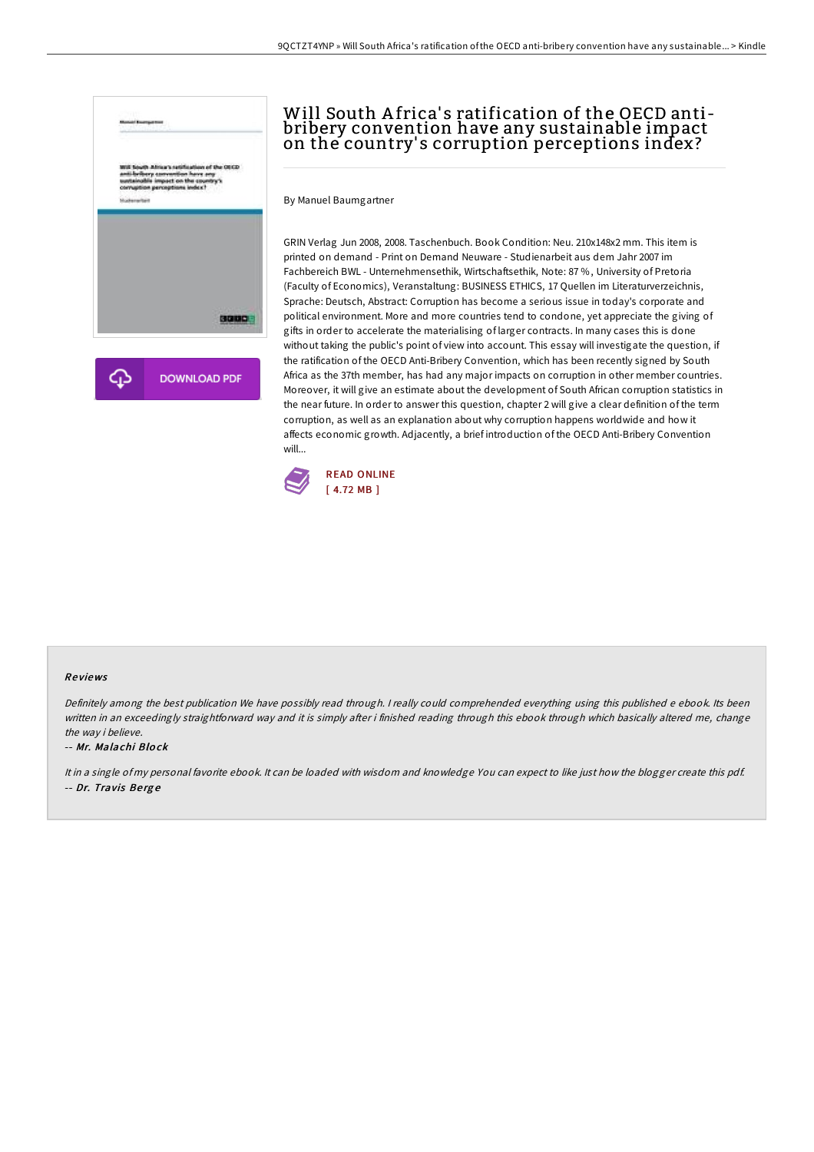

## Will South Africa's ratification of the OECD antibribery convention have any sustainable impact on the country's corruption perceptions index?

By Manuel Baumgartner

GRIN Verlag Jun 2008, 2008. Taschenbuch. Book Condition: Neu. 210x148x2 mm. This item is printed on demand - Print on Demand Neuware - Studienarbeit aus dem Jahr 2007 im Fachbereich BWL - Unternehmensethik, Wirtschaftsethik, Note: 87 %, University of Pretoria (Faculty of Economics), Veranstaltung: BUSINESS ETHICS, 17 Quellen im Literaturverzeichnis, Sprache: Deutsch, Abstract: Corruption has become a serious issue in today's corporate and political environment. More and more countries tend to condone, yet appreciate the giving of gifts in order to accelerate the materialising of larger contracts. In many cases this is done without taking the public's point of view into account. This essay will investigate the question, if the ratification of the OECD Anti-Bribery Convention, which has been recently signed by South Africa as the 37th member, has had any major impacts on corruption in other member countries. Moreover, it will give an estimate about the development of South African corruption statistics in the near future. In order to answer this question, chapter 2 will give a clear definition of the term corruption, as well as an explanation about why corruption happens worldwide and how it affects economic growth. Adjacently, a brief introduction of the OECD Anti-Bribery Convention will...



## Re views

Definitely among the best publication We have possibly read through. <sup>I</sup> really could comprehended everything using this published <sup>e</sup> ebook. Its been written in an exceedingly straightforward way and it is simply after i finished reading through this ebook through which basically altered me, change the way i believe.

## -- Mr. Malachi Blo ck

It in <sup>a</sup> single of my personal favorite ebook. It can be loaded with wisdom and knowledge You can expect to like just how the blogger create this pdf. -- Dr. Travis Berge